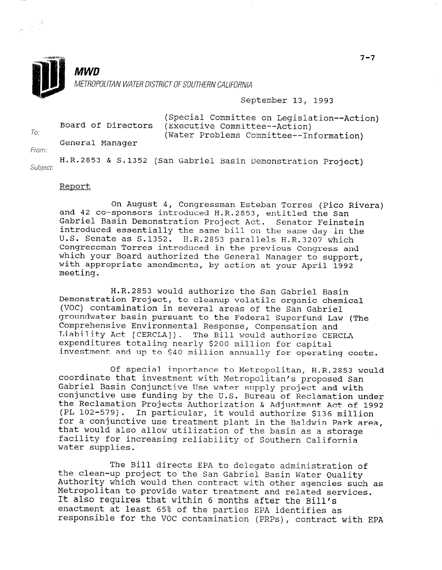

# MWD

## METROPOLITAN WATER DISTRICT OF SOUTHERN CALIFORNIA

# September 13, 1993

| To:   | Board of Directors | (Special Committee on Legislation--Action)<br>(Executive Committee -- Action) |
|-------|--------------------|-------------------------------------------------------------------------------|
| From: | General Manager    | (Water Problems Committee--Information)                                       |
|       |                    | H.R.2853 & S.1352 (San Gabriel Basin Demonstration Project)                   |

Report

Subject:

On August 4, Congressman Esteban Torres (Pica Rivera) and 42 co-sponsors introduced H.R.2853, entitled the San Gabriel Basin Demonstration Project Act. Senator Feinstein introduced essentially the same bill on the same day in the U.S. Senate as S.1352. H.R.2853 parallels H.R.3207 which Congressman Torres introduced in the previous Congress and which your Board authorized the General Manager to support, with appropriate amendments, by action at your April 1992 meeting.

H.R.2853 would authorize the San Gabriel Basin Demonstration Project, to cleanup volatile organic chemical (VOC) contamination in several areas of the San Gabriel groundwater basin pursuant to the Federal Superfund Law (The Comprehensive Environmental Response, Compensation and Liability Act [CERCLA]). The Bill would authorize CERCLA expenditures totaling nearly \$200 million for capital investment and up to \$40 million annually for operating costs.

Of special importance to Metropolitan, H.R.2853 would coordinate that investment with Metropolitan's proposed San Gabriel Basin Conjunctive Use water supply project and with conficit busin conjunctive use water supply project and with the Reclamation Projects Authorization & Adjustment Act of 1992 (PL 102-579). In particular, it would authorize \$136 million for a conjunctive use treatment plant in the Baldwin Park area, that would also allow utilization of the basin as a storage facility for increasing reliability of Southern California water supplies.

The Bill directs EPA to delegate administration of the clean-up project to the San Gabriel Basin Water Quality authority which would then contract with other agency. Metropolitan to provide water treatment and related services sur-Metropolitan to provide water treatment and related services.<br>It also requires that within 6 months after the Bill's enactment at least 65% of the parties EPA identifies as responsible for the VOC contamination (PRPs), contract with EPA